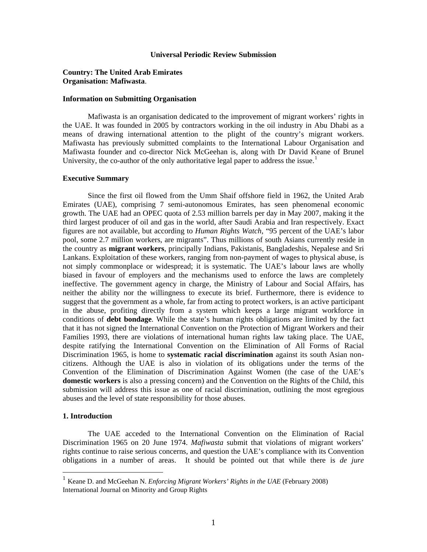### **Universal Periodic Review Submission**

# **Country: The United Arab Emirates Organisation: Mafiwasta**.

### **Information on Submitting Organisation**

Mafiwasta is an organisation dedicated to the improvement of migrant workers' rights in the UAE. It was founded in 2005 by contractors working in the oil industry in Abu Dhabi as a means of drawing international attention to the plight of the country's migrant workers. Mafiwasta has previously submitted complaints to the International Labour Organisation and Mafiwasta founder and co-director Nick McGeehan is, along with Dr David Keane of Brunel University, the co-author of the only authoritative legal paper to address the issue.<sup>[1](#page-0-0)</sup>

### **Executive Summary**

Since the first oil flowed from the Umm Shaif offshore field in 1962, the United Arab Emirates (UAE), comprising 7 semi-autonomous Emirates, has seen phenomenal economic growth. The UAE had an OPEC quota of 2.53 million barrels per day in May 2007, making it the third largest producer of oil and gas in the world, after Saudi Arabia and Iran respectively. Exact figures are not available, but according to *Human Rights Watch*, "95 percent of the UAE's labor pool, some 2.7 million workers, are migrants". Thus millions of south Asians currently reside in the country as **migrant workers**, principally Indians, Pakistanis, Bangladeshis, Nepalese and Sri Lankans. Exploitation of these workers, ranging from non-payment of wages to physical abuse, is not simply commonplace or widespread; it is systematic. The UAE's labour laws are wholly biased in favour of employers and the mechanisms used to enforce the laws are completely ineffective. The government agency in charge, the Ministry of Labour and Social Affairs, has neither the ability nor the willingness to execute its brief. Furthermore, there is evidence to suggest that the government as a whole, far from acting to protect workers, is an active participant in the abuse, profiting directly from a system which keeps a large migrant workforce in conditions of **debt bondage**. While the state's human rights obligations are limited by the fact that it has not signed the International Convention on the Protection of Migrant Workers and their Families 1993, there are violations of international human rights law taking place. The UAE, despite ratifying the International Convention on the Elimination of All Forms of Racial Discrimination 1965, is home to **systematic racial discrimination** against its south Asian noncitizens. Although the UAE is also in violation of its obligations under the terms of the Convention of the Elimination of Discrimination Against Women (the case of the UAE's **domestic workers** is also a pressing concern) and the Convention on the Rights of the Child, this submission will address this issue as one of racial discrimination, outlining the most egregious abuses and the level of state responsibility for those abuses.

## **1. Introduction**

 $\overline{a}$ 

The UAE acceded to the International Convention on the Elimination of Racial Discrimination 1965 on 20 June 1974. *Mafiwasta* submit that violations of migrant workers' rights continue to raise serious concerns, and question the UAE's compliance with its Convention obligations in a number of areas. It should be pointed out that while there is *de jure*

<span id="page-0-0"></span><sup>1</sup> Keane D. and McGeehan N. *Enforcing Migrant Workers' Rights in the UAE* (February 2008) International Journal on Minority and Group Rights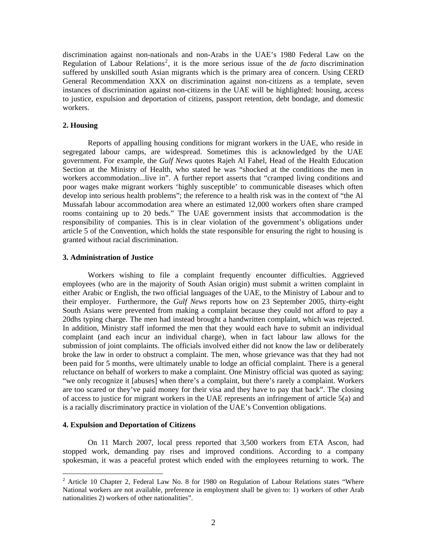discrimination against non-nationals and non-Arabs in the UAE's 1980 Federal Law on the Regulation of Labour Relations<sup>[2](#page-1-0)</sup>, it is the more serious issue of the *de facto* discrimination suffered by unskilled south Asian migrants which is the primary area of concern. Using CERD General Recommendation XXX on discrimination against non-citizens as a template, seven instances of discrimination against non-citizens in the UAE will be highlighted: housing, access to justice, expulsion and deportation of citizens, passport retention, debt bondage, and domestic workers.

# **2. Housing**

Reports of appalling housing conditions for migrant workers in the UAE, who reside in segregated labour camps, are widespread. Sometimes this is acknowledged by the UAE government. For example, the *Gulf News* quotes Rajeh Al Fahel, Head of the Health Education Section at the Ministry of Health, who stated he was "shocked at the conditions the men in workers accommodation...live in". A further report asserts that "cramped living conditions and poor wages make migrant workers 'highly susceptible' to communicable diseases which often develop into serious health problems"; the reference to a health risk was in the context of "the Al Mussafah labour accommodation area where an estimated 12,000 workers often share cramped rooms containing up to 20 beds." The UAE government insists that accommodation is the responsibility of companies. This is in clear violation of the government's obligations under article 5 of the Convention, which holds the state responsible for ensuring the right to housing is granted without racial discrimination.

### **3. Administration of Justice**

Workers wishing to file a complaint frequently encounter difficulties. Aggrieved employees (who are in the majority of South Asian origin) must submit a written complaint in either Arabic or English, the two official languages of the UAE, to the Ministry of Labour and to their employer. Furthermore, the *Gulf News* reports how on 23 September 2005, thirty-eight South Asians were prevented from making a complaint because they could not afford to pay a 20dhs typing charge. The men had instead brought a handwritten complaint, which was rejected. In addition, Ministry staff informed the men that they would each have to submit an individual complaint (and each incur an individual charge), when in fact labour law allows for the submission of joint complaints. The officials involved either did not know the law or deliberately broke the law in order to obstruct a complaint. The men, whose grievance was that they had not been paid for 5 months, were ultimately unable to lodge an official complaint. There is a general reluctance on behalf of workers to make a complaint. One Ministry official was quoted as saying: "we only recognize it [abuses] when there's a complaint, but there's rarely a complaint. Workers are too scared or they've paid money for their visa and they have to pay that back". The closing of access to justice for migrant workers in the UAE represents an infringement of article 5(a) and is a racially discriminatory practice in violation of the UAE's Convention obligations.

# **4. Expulsion and Deportation of Citizens**

 $\overline{a}$ 

On 11 March 2007, local press reported that 3,500 workers from ETA Ascon, had stopped work, demanding pay rises and improved conditions. According to a company spokesman, it was a peaceful protest which ended with the employees returning to work. The

<span id="page-1-0"></span> $2$  Article 10 Chapter 2, Federal Law No. 8 for 1980 on Regulation of Labour Relations states "Where National workers are not available, preference in employment shall be given to: 1) workers of other Arab nationalities 2) workers of other nationalities".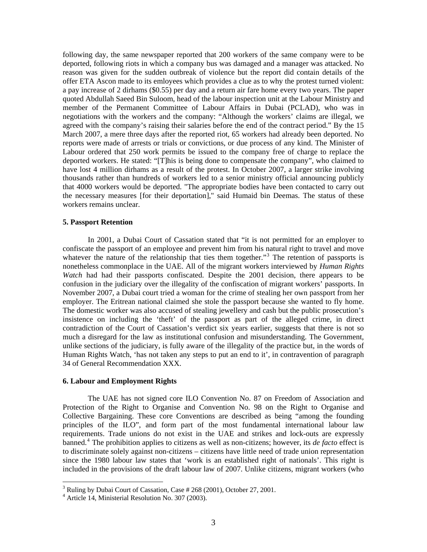following day, the same newspaper reported that 200 workers of the same company were to be deported, following riots in which a company bus was damaged and a manager was attacked. No reason was given for the sudden outbreak of violence but the report did contain details of the offer ETA Ascon made to its emloyees which provides a clue as to why the protest turned violent: a pay increase of 2 dirhams (\$0.55) per day and a return air fare home every two years. The paper quoted Abdullah Saeed Bin Suloom, head of the labour inspection unit at the Labour Ministry and member of the Permanent Committee of Labour Affairs in Dubai (PCLAD), who was in negotiations with the workers and the company: "Although the workers' claims are illegal, we agreed with the company's raising their salaries before the end of the contract period." By the 15 March 2007, a mere three days after the reported riot, 65 workers had already been deported. No reports were made of arrests or trials or convictions, or due process of any kind. The Minister of Labour ordered that 250 work permits be issued to the company free of charge to replace the deported workers. He stated: "[T]his is being done to compensate the company", who claimed to have lost 4 million dirhams as a result of the protest. In October 2007, a larger strike involving thousands rather than hundreds of workers led to a senior ministry official announcing publicly that 4000 workers would be deported. "The appropriate bodies have been contacted to carry out the necessary measures [for their deportation]," said Humaid bin Deemas. The status of these workers remains unclear.

## **5. Passport Retention**

In 2001, a Dubai Court of Cassation stated that "it is not permitted for an employer to confiscate the passport of an employee and prevent him from his natural right to travel and move whatever the nature of the relationship that ties them together."<sup>[3](#page-2-0)</sup> The retention of passports is nonetheless commonplace in the UAE. All of the migrant workers interviewed by *Human Rights Watch* had had their passports confiscated. Despite the 2001 decision, there appears to be confusion in the judiciary over the illegality of the confiscation of migrant workers' passports. In November 2007, a Dubai court tried a woman for the crime of stealing her own passport from her employer. The Eritrean national claimed she stole the passport because she wanted to fly home. The domestic worker was also accused of stealing jewellery and cash but the public prosecution's insistence on including the 'theft' of the passport as part of the alleged crime, in direct contradiction of the Court of Cassation's verdict six years earlier, suggests that there is not so much a disregard for the law as institutional confusion and misunderstanding. The Government, unlike sections of the judiciary, is fully aware of the illegality of the practice but, in the words of Human Rights Watch, 'has not taken any steps to put an end to it', in contravention of paragraph 34 of General Recommendation XXX.

### **6. Labour and Employment Rights**

The UAE has not signed core ILO Convention No. 87 on Freedom of Association and Protection of the Right to Organise and Convention No. 98 on the Right to Organise and Collective Bargaining. These core Conventions are described as being "among the founding principles of the ILO", and form part of the most fundamental international labour law requirements. Trade unions do not exist in the UAE and strikes and lock-outs are expressly banned.[4](#page-2-1) The prohibition applies to citizens as well as non-citizens; however, its *de facto* effect is to discriminate solely against non-citizens – citizens have little need of trade union representation since the 1980 labour law states that 'work is an established right of nationals'. This right is included in the provisions of the draft labour law of 2007. Unlike citizens, migrant workers (who

<sup>&</sup>lt;sup>3</sup> Ruling by Dubai Court of Cassation, Case # 268 (2001), October 27, 2001.

<span id="page-2-1"></span><span id="page-2-0"></span><sup>4</sup> Article 14, Ministerial Resolution No. 307 (2003).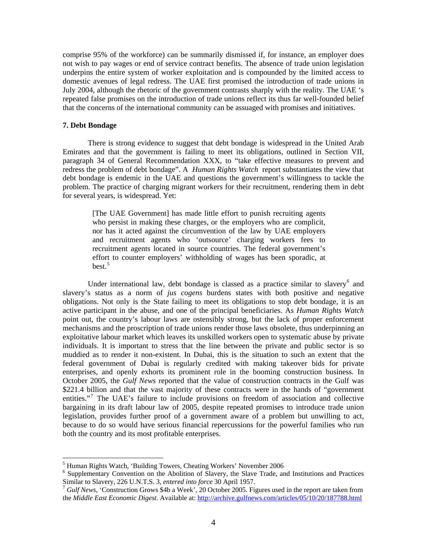comprise 95% of the workforce) can be summarily dismissed if, for instance, an employer does not wish to pay wages or end of service contract benefits. The absence of trade union legislation underpins the entire system of worker exploitation and is compounded by the limited access to domestic avenues of legal redress. The UAE first promised the introduction of trade unions in July 2004, although the rhetoric of the government contrasts sharply with the reality. The UAE 's repeated false promises on the introduction of trade unions reflect its thus far well-founded belief that the concerns of the international community can be assuaged with promises and initiatives.

## **7. Debt Bondage**

 $\overline{a}$ 

There is strong evidence to suggest that debt bondage is widespread in the United Arab Emirates and that the government is failing to meet its obligations, outlined in Section VII, paragraph 34 of General Recommendation XXX, to "take effective measures to prevent and redress the problem of debt bondage". A *Human Rights Watch* report substantiates the view that debt bondage is endemic in the UAE and questions the government's willingness to tackle the problem. The practice of charging migrant workers for their recruitment, rendering them in debt for several years, is widespread. Yet:

[The UAE Government] has made little effort to punish recruiting agents who persist in making these charges, or the employers who are complicit, nor has it acted against the circumvention of the law by UAE employers and recruitment agents who 'outsource' charging workers fees to recruitment agents located in source countries. The federal government's effort to counter employers' withholding of wages has been sporadic, at  $best.<sup>5</sup>$  $best.<sup>5</sup>$  $best.<sup>5</sup>$ 

Under international law, debt bondage is classed as a practice similar to slavery $<sup>6</sup>$  $<sup>6</sup>$  $<sup>6</sup>$  and</sup> slavery's status as a norm of *jus cogens* burdens states with both positive and negative obligations. Not only is the State failing to meet its obligations to stop debt bondage, it is an active participant in the abuse, and one of the principal beneficiaries. As *Human Rights Watch* point out, the country's labour laws are ostensibly strong, but the lack of proper enforcement mechanisms and the proscription of trade unions render those laws obsolete, thus underpinning an exploitative labour market which leaves its unskilled workers open to systematic abuse by private individuals. It is important to stress that the line between the private and public sector is so muddied as to render it non-existent. In Dubai, this is the situation to such an extent that the federal government of Dubai is regularly credited with making takeover bids for private enterprises, and openly exhorts its prominent role in the booming construction business. In October 2005, the *Gulf News* reported that the value of construction contracts in the Gulf was \$221.4 billion and that the vast majority of these contracts were in the hands of "government" entities."<sup>[7](#page-3-2)</sup> The UAE's failure to include provisions on freedom of association and collective bargaining in its draft labour law of 2005, despite repeated promises to introduce trade union legislation, provides further proof of a government aware of a problem but unwilling to act, because to do so would have serious financial repercussions for the powerful families who run both the country and its most profitable enterprises.

<span id="page-3-0"></span><sup>&</sup>lt;sup>5</sup> Human Rights Watch, 'Building Towers, Cheating Workers' November 2006

<span id="page-3-1"></span><sup>&</sup>lt;sup>6</sup> Supplementary Convention on the Abolition of Slavery, the Slave Trade, and Institutions and Practices Similar to Slavery, 226 U.N.T.S. 3, *entered into force* 30 April 1957.<br><sup>7</sup> *Gulf News*, 'Construction Grows \$4b a Week', 20 October 2005. Figures used in the report are taken from

<span id="page-3-2"></span>the *Middle East Economic Digest*. Available at:<http://archive.gulfnews.com/articles/05/10/20/187788.html>